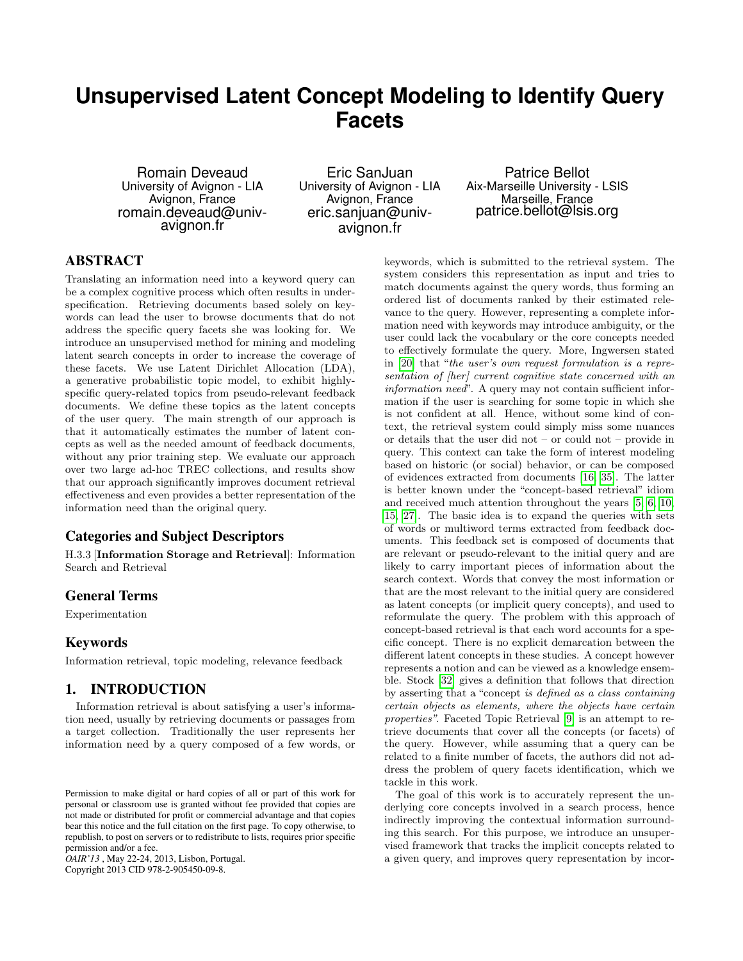# **Unsupervised Latent Concept Modeling to Identify Query Facets**

Romain Deveaud University of Avignon - LIA Avignon, France romain.deveaud@univavignon.fr

Eric SanJuan University of Avignon - LIA Avignon, France eric.sanjuan@univavignon.fr

Patrice Bellot Aix-Marseille University - LSIS Marseille, France patrice.bellot@lsis.org

# ABSTRACT

Translating an information need into a keyword query can be a complex cognitive process which often results in underspecification. Retrieving documents based solely on keywords can lead the user to browse documents that do not address the specific query facets she was looking for. We introduce an unsupervised method for mining and modeling latent search concepts in order to increase the coverage of these facets. We use Latent Dirichlet Allocation (LDA), a generative probabilistic topic model, to exhibit highlyspecific query-related topics from pseudo-relevant feedback documents. We define these topics as the latent concepts of the user query. The main strength of our approach is that it automatically estimates the number of latent concepts as well as the needed amount of feedback documents, without any prior training step. We evaluate our approach over two large ad-hoc TREC collections, and results show that our approach significantly improves document retrieval effectiveness and even provides a better representation of the information need than the original query.

## Categories and Subject Descriptors

H.3.3 [Information Storage and Retrieval]: Information Search and Retrieval

## General Terms

Experimentation

#### Keywords

Information retrieval, topic modeling, relevance feedback

## 1. INTRODUCTION

Information retrieval is about satisfying a user's information need, usually by retrieving documents or passages from a target collection. Traditionally the user represents her information need by a query composed of a few words, or

*OAIR'13* , May 22-24, 2013, Lisbon, Portugal.

Copyright 2013 CID 978-2-905450-09-8.

keywords, which is submitted to the retrieval system. The system considers this representation as input and tries to match documents against the query words, thus forming an ordered list of documents ranked by their estimated relevance to the query. However, representing a complete information need with keywords may introduce ambiguity, or the user could lack the vocabulary or the core concepts needed to effectively formulate the query. More, Ingwersen stated in [\[20\]](#page-7-0) that "the user's own request formulation is a representation of [her] current cognitive state concerned with an information need". A query may not contain sufficient information if the user is searching for some topic in which she is not confident at all. Hence, without some kind of context, the retrieval system could simply miss some nuances or details that the user did not – or could not – provide in query. This context can take the form of interest modeling based on historic (or social) behavior, or can be composed of evidences extracted from documents [\[16,](#page-7-1) [35\]](#page-7-2). The latter is better known under the "concept-based retrieval" idiom and received much attention throughout the years [\[5,](#page-7-3) [6,](#page-7-4) [10,](#page-7-5) [15,](#page-7-6) [27\]](#page-7-7). The basic idea is to expand the queries with sets of words or multiword terms extracted from feedback documents. This feedback set is composed of documents that are relevant or pseudo-relevant to the initial query and are likely to carry important pieces of information about the search context. Words that convey the most information or that are the most relevant to the initial query are considered as latent concepts (or implicit query concepts), and used to reformulate the query. The problem with this approach of concept-based retrieval is that each word accounts for a specific concept. There is no explicit demarcation between the different latent concepts in these studies. A concept however represents a notion and can be viewed as a knowledge ensemble. Stock [\[32\]](#page-7-8) gives a definition that follows that direction by asserting that a "concept is defined as a class containing certain objects as elements, where the objects have certain properties". Faceted Topic Retrieval [\[9\]](#page-7-9) is an attempt to retrieve documents that cover all the concepts (or facets) of the query. However, while assuming that a query can be related to a finite number of facets, the authors did not address the problem of query facets identification, which we tackle in this work.

The goal of this work is to accurately represent the underlying core concepts involved in a search process, hence indirectly improving the contextual information surrounding this search. For this purpose, we introduce an unsupervised framework that tracks the implicit concepts related to a given query, and improves query representation by incor-

Permission to make digital or hard copies of all or part of this work for personal or classroom use is granted without fee provided that copies are not made or distributed for profit or commercial advantage and that copies bear this notice and the full citation on the first page. To copy otherwise, to republish, to post on servers or to redistribute to lists, requires prior specific permission and/or a fee.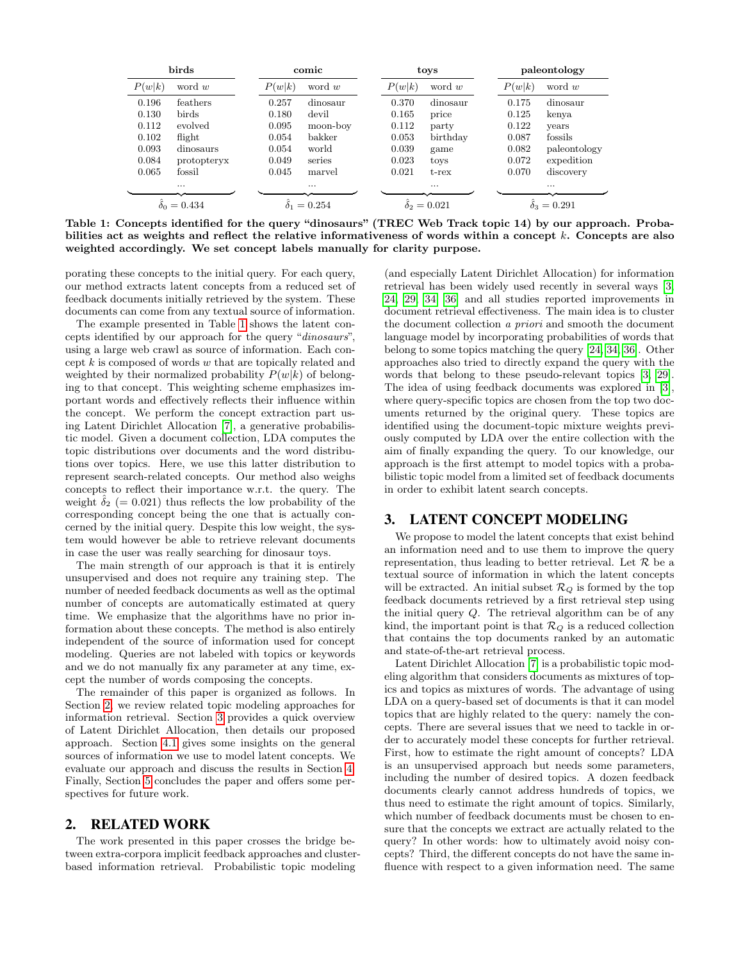| birds                      |             |        | comic              |        | toys                      |        | paleontology       |  |
|----------------------------|-------------|--------|--------------------|--------|---------------------------|--------|--------------------|--|
| P(w k)                     | word $w$    | P(w k) | word $w$           | P(w k) | word $w$                  | P(w k) | word $w$           |  |
| 0.196                      | feathers    | 0.257  | dinosaur           | 0.370  | dinosaur                  | 0.175  | dinosaur           |  |
| 0.130                      | birds       | 0.180  | devil              | 0.165  | price                     | 0.125  | kenya              |  |
| 0.112                      | evolved     | 0.095  | moon-boy           | 0.112  | party                     | 0.122  | vears              |  |
| 0.102                      | flight      | 0.054  | bakker             | 0.053  | birthday                  | 0.087  | fossils            |  |
| 0.093                      | dinosaurs   | 0.054  | world              | 0.039  | game                      | 0.082  | paleontology       |  |
| 0.084                      | protopteryx | 0.049  | series             | 0.023  | toys                      | 0.072  | expedition         |  |
| 0.065                      | fossil      | 0.045  | marvel             | 0.021  | $t$ - $rex$               | 0.070  | discovery          |  |
|                            | $\cdots$    |        | $\cdots$           |        | $\cdots$                  |        | $\cdots$           |  |
| $\tilde{\delta}_0 = 0.434$ |             |        | $\delta_1 = 0.254$ |        | $\ddot{\delta}_2 = 0.021$ |        | $\delta_3 = 0.291$ |  |

<span id="page-1-0"></span>Table 1: Concepts identified for the query "dinosaurs" (TREC Web Track topic 14) by our approach. Probabilities act as weights and reflect the relative informativeness of words within a concept k. Concepts are also weighted accordingly. We set concept labels manually for clarity purpose.

porating these concepts to the initial query. For each query, our method extracts latent concepts from a reduced set of feedback documents initially retrieved by the system. These documents can come from any textual source of information.

The example presented in Table [1](#page-1-0) shows the latent concepts identified by our approach for the query "dinosaurs", using a large web crawl as source of information. Each concept k is composed of words w that are topically related and weighted by their normalized probability  $P(w|k)$  of belonging to that concept. This weighting scheme emphasizes important words and effectively reflects their influence within the concept. We perform the concept extraction part using Latent Dirichlet Allocation [\[7\]](#page-7-10), a generative probabilistic model. Given a document collection, LDA computes the topic distributions over documents and the word distributions over topics. Here, we use this latter distribution to represent search-related concepts. Our method also weighs concepts to reflect their importance w.r.t. the query. The weight  $\delta_2$  (= 0.021) thus reflects the low probability of the corresponding concept being the one that is actually concerned by the initial query. Despite this low weight, the system would however be able to retrieve relevant documents in case the user was really searching for dinosaur toys.

The main strength of our approach is that it is entirely unsupervised and does not require any training step. The number of needed feedback documents as well as the optimal number of concepts are automatically estimated at query time. We emphasize that the algorithms have no prior information about these concepts. The method is also entirely independent of the source of information used for concept modeling. Queries are not labeled with topics or keywords and we do not manually fix any parameter at any time, except the number of words composing the concepts.

The remainder of this paper is organized as follows. In Section [2,](#page-1-1) we review related topic modeling approaches for information retrieval. Section [3](#page-1-2) provides a quick overview of Latent Dirichlet Allocation, then details our proposed approach. Section [4.1](#page-4-0) gives some insights on the general sources of information we use to model latent concepts. We evaluate our approach and discuss the results in Section [4.](#page-4-1) Finally, Section [5](#page-7-11) concludes the paper and offers some perspectives for future work.

## <span id="page-1-1"></span>2. RELATED WORK

The work presented in this paper crosses the bridge between extra-corpora implicit feedback approaches and clusterbased information retrieval. Probabilistic topic modeling

(and especially Latent Dirichlet Allocation) for information retrieval has been widely used recently in several ways [\[3,](#page-7-12) [24,](#page-7-13) [29,](#page-7-14) [34,](#page-7-15) [36\]](#page-7-16) and all studies reported improvements in document retrieval effectiveness. The main idea is to cluster the document collection a priori and smooth the document language model by incorporating probabilities of words that belong to some topics matching the query [\[24,](#page-7-13) [34,](#page-7-15) [36\]](#page-7-16). Other approaches also tried to directly expand the query with the words that belong to these pseudo-relevant topics [\[3,](#page-7-12) [29\]](#page-7-14). The idea of using feedback documents was explored in [\[3\]](#page-7-12), where query-specific topics are chosen from the top two documents returned by the original query. These topics are identified using the document-topic mixture weights previously computed by LDA over the entire collection with the aim of finally expanding the query. To our knowledge, our approach is the first attempt to model topics with a probabilistic topic model from a limited set of feedback documents in order to exhibit latent search concepts.

## <span id="page-1-2"></span>3. LATENT CONCEPT MODELING

We propose to model the latent concepts that exist behind an information need and to use them to improve the query representation, thus leading to better retrieval. Let  $\mathcal R$  be a textual source of information in which the latent concepts will be extracted. An initial subset  $\mathcal{R}_Q$  is formed by the top feedback documents retrieved by a first retrieval step using the initial query Q. The retrieval algorithm can be of any kind, the important point is that  $\mathcal{R}_Q$  is a reduced collection that contains the top documents ranked by an automatic and state-of-the-art retrieval process.

Latent Dirichlet Allocation [\[7\]](#page-7-10) is a probabilistic topic modeling algorithm that considers documents as mixtures of topics and topics as mixtures of words. The advantage of using LDA on a query-based set of documents is that it can model topics that are highly related to the query: namely the concepts. There are several issues that we need to tackle in order to accurately model these concepts for further retrieval. First, how to estimate the right amount of concepts? LDA is an unsupervised approach but needs some parameters, including the number of desired topics. A dozen feedback documents clearly cannot address hundreds of topics, we thus need to estimate the right amount of topics. Similarly, which number of feedback documents must be chosen to ensure that the concepts we extract are actually related to the query? In other words: how to ultimately avoid noisy concepts? Third, the different concepts do not have the same influence with respect to a given information need. The same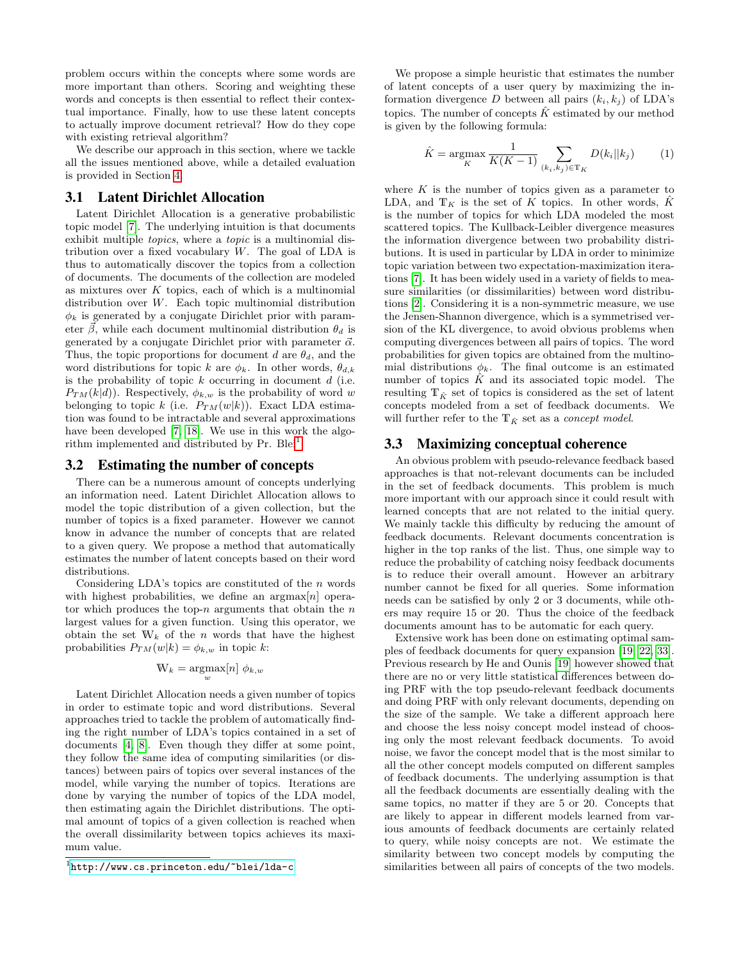problem occurs within the concepts where some words are more important than others. Scoring and weighting these words and concepts is then essential to reflect their contextual importance. Finally, how to use these latent concepts to actually improve document retrieval? How do they cope with existing retrieval algorithm?

We describe our approach in this section, where we tackle all the issues mentioned above, while a detailed evaluation is provided in Section [4.](#page-4-1)

#### 3.1 Latent Dirichlet Allocation

Latent Dirichlet Allocation is a generative probabilistic topic model [\[7\]](#page-7-10). The underlying intuition is that documents exhibit multiple topics, where a topic is a multinomial distribution over a fixed vocabulary  $W$ . The goal of LDA is thus to automatically discover the topics from a collection of documents. The documents of the collection are modeled as mixtures over  $K$  topics, each of which is a multinomial distribution over W. Each topic multinomial distribution  $\phi_k$  is generated by a conjugate Dirichlet prior with parameter  $\beta$ , while each document multinomial distribution  $\theta_d$  is generated by a conjugate Dirichlet prior with parameter  $\vec{\alpha}$ . Thus, the topic proportions for document d are  $\theta_d$ , and the word distributions for topic k are  $\phi_k$ . In other words,  $\theta_{d,k}$ is the probability of topic  $k$  occurring in document  $d$  (i.e.  $P_{TM}(k|d)$ . Respectively,  $\phi_{k,w}$  is the probability of word w belonging to topic k (i.e.  $P_{TM}(w|k)$ ). Exact LDA estimation was found to be intractable and several approximations have been developed [\[7,](#page-7-10) [18\]](#page-7-17). We use in this work the algo-rithm implemented and distributed by Pr. Blei<sup>[1](#page-2-0)</sup>.

#### <span id="page-2-1"></span>3.2 Estimating the number of concepts

There can be a numerous amount of concepts underlying an information need. Latent Dirichlet Allocation allows to model the topic distribution of a given collection, but the number of topics is a fixed parameter. However we cannot know in advance the number of concepts that are related to a given query. We propose a method that automatically estimates the number of latent concepts based on their word distributions.

Considering LDA's topics are constituted of the  $n$  words with highest probabilities, we define an  $\arg\max[n]$  operator which produces the top- $n$  arguments that obtain the  $n$ largest values for a given function. Using this operator, we obtain the set  $W_k$  of the n words that have the highest probabilities  $P_{TM}(w|k) = \phi_{k,w}$  in topic k:

$$
\mathbf{W}_k = \underset{w}{\operatorname{argmax}}[n] \phi_{k,w}
$$

Latent Dirichlet Allocation needs a given number of topics in order to estimate topic and word distributions. Several approaches tried to tackle the problem of automatically finding the right number of LDA's topics contained in a set of documents [\[4,](#page-7-18) [8\]](#page-7-19). Even though they differ at some point, they follow the same idea of computing similarities (or distances) between pairs of topics over several instances of the model, while varying the number of topics. Iterations are done by varying the number of topics of the LDA model, then estimating again the Dirichlet distributions. The optimal amount of topics of a given collection is reached when the overall dissimilarity between topics achieves its maximum value.

We propose a simple heuristic that estimates the number of latent concepts of a user query by maximizing the information divergence D between all pairs  $(k_i, k_j)$  of LDA's topics. The number of concepts  $\hat{K}$  estimated by our method is given by the following formula:

$$
\hat{K} = \underset{K}{\text{argmax}} \frac{1}{K(K-1)} \sum_{(k_i, k_j) \in \mathbb{T}_K} D(k_i || k_j)
$$
 (1)

where  $K$  is the number of topics given as a parameter to LDA, and  $T_K$  is the set of K topics. In other words,  $\ddot{K}$ is the number of topics for which LDA modeled the most scattered topics. The Kullback-Leibler divergence measures the information divergence between two probability distributions. It is used in particular by LDA in order to minimize topic variation between two expectation-maximization iterations [\[7\]](#page-7-10). It has been widely used in a variety of fields to measure similarities (or dissimilarities) between word distributions [\[2\]](#page-7-20). Considering it is a non-symmetric measure, we use the Jensen-Shannon divergence, which is a symmetrised version of the KL divergence, to avoid obvious problems when computing divergences between all pairs of topics. The word probabilities for given topics are obtained from the multinomial distributions  $\phi_k$ . The final outcome is an estimated number of topics  $\hat{K}$  and its associated topic model. The resulting  $T_{\hat{K}}$  set of topics is considered as the set of latent concepts modeled from a set of feedback documents. We will further refer to the  $\mathbb{T}_{\hat{K}}$  set as a *concept model*.

#### <span id="page-2-2"></span>3.3 Maximizing conceptual coherence

An obvious problem with pseudo-relevance feedback based approaches is that not-relevant documents can be included in the set of feedback documents. This problem is much more important with our approach since it could result with learned concepts that are not related to the initial query. We mainly tackle this difficulty by reducing the amount of feedback documents. Relevant documents concentration is higher in the top ranks of the list. Thus, one simple way to reduce the probability of catching noisy feedback documents is to reduce their overall amount. However an arbitrary number cannot be fixed for all queries. Some information needs can be satisfied by only 2 or 3 documents, while others may require 15 or 20. Thus the choice of the feedback documents amount has to be automatic for each query.

Extensive work has been done on estimating optimal samples of feedback documents for query expansion [\[19,](#page-7-21) [22,](#page-7-22) [33\]](#page-7-23). Previous research by He and Ounis [\[19\]](#page-7-21) however showed that there are no or very little statistical differences between doing PRF with the top pseudo-relevant feedback documents and doing PRF with only relevant documents, depending on the size of the sample. We take a different approach here and choose the less noisy concept model instead of choosing only the most relevant feedback documents. To avoid noise, we favor the concept model that is the most similar to all the other concept models computed on different samples of feedback documents. The underlying assumption is that all the feedback documents are essentially dealing with the same topics, no matter if they are 5 or 20. Concepts that are likely to appear in different models learned from various amounts of feedback documents are certainly related to query, while noisy concepts are not. We estimate the similarity between two concept models by computing the similarities between all pairs of concepts of the two models.

<span id="page-2-0"></span><sup>1</sup> <http://www.cs.princeton.edu/~blei/lda-c>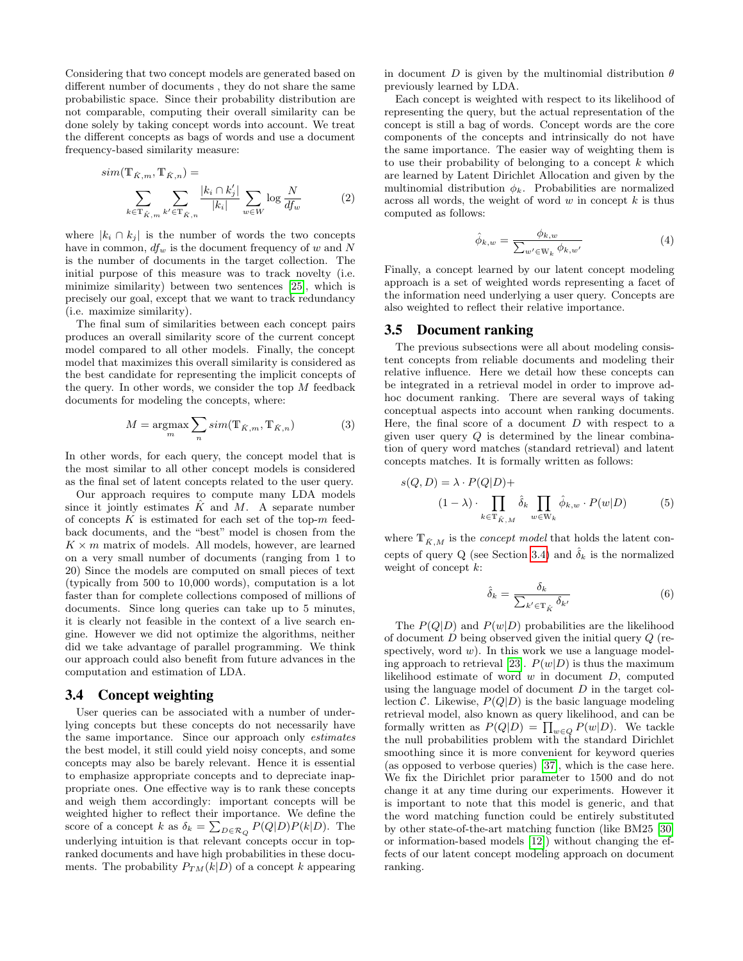Considering that two concept models are generated based on different number of documents , they do not share the same probabilistic space. Since their probability distribution are not comparable, computing their overall similarity can be done solely by taking concept words into account. We treat the different concepts as bags of words and use a document frequency-based similarity measure:

$$
sim(\mathbf{T}_{\hat{K},m}, \mathbf{T}_{\hat{K},n}) = \sum_{k \in \mathbf{T}_{\hat{K},m}} \sum_{k' \in \mathbf{T}_{\hat{K},n}} \frac{|k_i \cap k'_j|}{|k_i|} \sum_{w \in W} \log \frac{N}{df_w}
$$
(2)

where  $|k_i \cap k_j|$  is the number of words the two concepts have in common,  $df_w$  is the document frequency of w and N is the number of documents in the target collection. The initial purpose of this measure was to track novelty (i.e. minimize similarity) between two sentences [\[25\]](#page-7-24), which is precisely our goal, except that we want to track redundancy (i.e. maximize similarity).

The final sum of similarities between each concept pairs produces an overall similarity score of the current concept model compared to all other models. Finally, the concept model that maximizes this overall similarity is considered as the best candidate for representing the implicit concepts of the query. In other words, we consider the top  $M$  feedback documents for modeling the concepts, where:

$$
M = \underset{m}{\operatorname{argmax}} \sum_{n} sim(\mathbb{T}_{\hat{K},m}, \mathbb{T}_{\hat{K},n})
$$
(3)

In other words, for each query, the concept model that is the most similar to all other concept models is considered as the final set of latent concepts related to the user query.

Our approach requires to compute many LDA models since it jointly estimates  $\hat{K}$  and  $M$ . A separate number of concepts  $K$  is estimated for each set of the top- $m$  feedback documents, and the "best" model is chosen from the  $K \times m$  matrix of models. All models, however, are learned on a very small number of documents (ranging from 1 to 20) Since the models are computed on small pieces of text (typically from 500 to 10,000 words), computation is a lot faster than for complete collections composed of millions of documents. Since long queries can take up to 5 minutes, it is clearly not feasible in the context of a live search engine. However we did not optimize the algorithms, neither did we take advantage of parallel programming. We think our approach could also benefit from future advances in the computation and estimation of LDA.

## <span id="page-3-0"></span>3.4 Concept weighting

User queries can be associated with a number of underlying concepts but these concepts do not necessarily have the same importance. Since our approach only estimates the best model, it still could yield noisy concepts, and some concepts may also be barely relevant. Hence it is essential to emphasize appropriate concepts and to depreciate inappropriate ones. One effective way is to rank these concepts and weigh them accordingly: important concepts will be weighted higher to reflect their importance. We define the score of a concept k as  $\delta_k = \sum_{D \in \mathcal{R}_Q} P(Q|D)P(k|D)$ . The underlying intuition is that relevant concepts occur in topranked documents and have high probabilities in these documents. The probability  $P_{TM}(k|D)$  of a concept k appearing

in document D is given by the multinomial distribution  $\theta$ previously learned by LDA.

Each concept is weighted with respect to its likelihood of representing the query, but the actual representation of the concept is still a bag of words. Concept words are the core components of the concepts and intrinsically do not have the same importance. The easier way of weighting them is to use their probability of belonging to a concept  $k$  which are learned by Latent Dirichlet Allocation and given by the multinomial distribution  $\phi_k$ . Probabilities are normalized across all words, the weight of word  $w$  in concept  $k$  is thus computed as follows:

$$
\hat{\phi}_{k,w} = \frac{\phi_{k,w}}{\sum_{w' \in \mathcal{W}_k} \phi_{k,w'}}\tag{4}
$$

Finally, a concept learned by our latent concept modeling approach is a set of weighted words representing a facet of the information need underlying a user query. Concepts are also weighted to reflect their relative importance.

#### 3.5 Document ranking

The previous subsections were all about modeling consistent concepts from reliable documents and modeling their relative influence. Here we detail how these concepts can be integrated in a retrieval model in order to improve adhoc document ranking. There are several ways of taking conceptual aspects into account when ranking documents. Here, the final score of a document  $D$  with respect to a given user query  $Q$  is determined by the linear combination of query word matches (standard retrieval) and latent concepts matches. It is formally written as follows:

$$
s(Q, D) = \lambda \cdot P(Q|D) +
$$
  

$$
(1 - \lambda) \cdot \prod_{k \in \mathbb{T}_{\hat{K},M}} \hat{\delta}_k \prod_{w \in \mathbb{W}_k} \hat{\phi}_{k,w} \cdot P(w|D) \tag{5}
$$

where  $\mathbb{T}_{\hat{K},M}$  is the  $concept \ model$  that holds the latent con-cepts of query Q (see Section [3.4\)](#page-3-0) and  $\hat{\delta}_k$  is the normalized weight of concept  $k$ :

<span id="page-3-1"></span>
$$
\hat{\delta}_k = \frac{\delta_k}{\sum_{k' \in \mathbb{T}_{\hat{K}}} \delta_{k'}} \tag{6}
$$

The  $P(Q|D)$  and  $P(w|D)$  probabilities are the likelihood of document  $D$  being observed given the initial query  $Q$  (respectively, word  $w$ ). In this work we use a language model-ing approach to retrieval [\[23\]](#page-7-25).  $P(w|D)$  is thus the maximum likelihood estimate of word  $w$  in document  $D$ , computed using the language model of document  $D$  in the target collection C. Likewise,  $P(Q|D)$  is the basic language modeling retrieval model, also known as query likelihood, and can be formally written as  $P(Q|D) = \prod_{w \in Q} P(w|D)$ . We tackle the null probabilities problem with the standard Dirichlet smoothing since it is more convenient for keyword queries (as opposed to verbose queries) [\[37\]](#page-7-26), which is the case here. We fix the Dirichlet prior parameter to 1500 and do not change it at any time during our experiments. However it is important to note that this model is generic, and that the word matching function could be entirely substituted by other state-of-the-art matching function (like BM25 [\[30\]](#page-7-27) or information-based models [\[12\]](#page-7-28)) without changing the effects of our latent concept modeling approach on document ranking.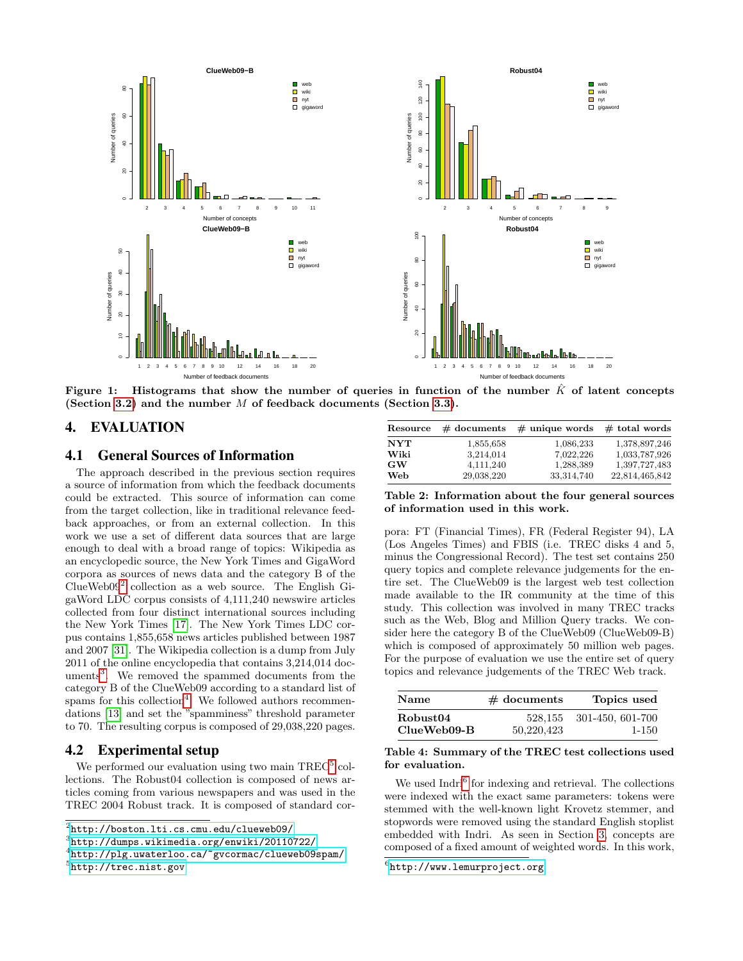



<span id="page-4-7"></span>Figure 1: Histograms that show the number of queries in function of the number  $\hat{K}$  of latent concepts (Section [3.2\)](#page-2-1) and the number  $M$  of feedback documents (Section [3.3\)](#page-2-2).

## <span id="page-4-1"></span>4. EVALUATION

#### <span id="page-4-0"></span>4.1 General Sources of Information

The approach described in the previous section requires a source of information from which the feedback documents could be extracted. This source of information can come from the target collection, like in traditional relevance feedback approaches, or from an external collection. In this work we use a set of different data sources that are large enough to deal with a broad range of topics: Wikipedia as an encyclopedic source, the New York Times and GigaWord corpora as sources of news data and the category B of the ClueWeb09[2](#page-4-2) collection as a web source. The English GigaWord LDC corpus consists of 4,111,240 newswire articles collected from four distinct international sources including the New York Times [\[17\]](#page-7-29). The New York Times LDC corpus contains 1,855,658 news articles published between 1987 and 2007 [\[31\]](#page-7-30). The Wikipedia collection is a dump from July 2011 of the online encyclopedia that contains 3,214,014 doc-uments<sup>[3](#page-4-3)</sup>. We removed the spammed documents from the category B of the ClueWeb09 according to a standard list of spams for this collection<sup>[4](#page-4-4)</sup>. We followed authors recommendations [\[13\]](#page-7-31) and set the "spamminess" threshold parameter to 70. The resulting corpus is composed of 29,038,220 pages.

## 4.2 Experimental setup

We performed our evaluation using two main TREC<sup>[5](#page-4-5)</sup> collections. The Robust04 collection is composed of news articles coming from various newspapers and was used in the TREC 2004 Robust track. It is composed of standard cor-

<span id="page-4-2"></span>

<span id="page-4-3"></span>3 <http://dumps.wikimedia.org/enwiki/20110722/>

| Resource   |             | $\#$ documents $\#$ unique words $\#$ total words |                |
|------------|-------------|---------------------------------------------------|----------------|
| <b>NYT</b> | 1,855,658   | 1,086,233                                         | 1,378,897,246  |
| Wiki       | 3,214,014   | 7,022,226                                         | 1,033,787,926  |
| GW         | 4, 111, 240 | 1,288,389                                         | 1,397,727,483  |
| Web        | 29,038,220  | 33, 314, 740                                      | 22,814,465,842 |

Table 2: Information about the four general sources of information used in this work.

pora: FT (Financial Times), FR (Federal Register 94), LA (Los Angeles Times) and FBIS (i.e. TREC disks 4 and 5, minus the Congressional Record). The test set contains 250 query topics and complete relevance judgements for the entire set. The ClueWeb09 is the largest web test collection made available to the IR community at the time of this study. This collection was involved in many TREC tracks such as the Web, Blog and Million Query tracks. We consider here the category B of the ClueWeb09 (ClueWeb09-B) which is composed of approximately 50 million web pages. For the purpose of evaluation we use the entire set of query topics and relevance judgements of the TREC Web track.

| <b>Name</b>          | $#$ documents | Topics used      |  |
|----------------------|---------------|------------------|--|
| Robust <sub>04</sub> | 528.155       | 301-450, 601-700 |  |
| ClueWeb09-B          | 50,220,423    | 1-150            |  |

#### Table 4: Summary of the TREC test collections used for evaluation.

We used Indri<sup>[6](#page-4-6)</sup> for indexing and retrieval. The collections were indexed with the exact same parameters: tokens were stemmed with the well-known light Krovetz stemmer, and stopwords were removed using the standard English stoplist embedded with Indri. As seen in Section [3,](#page-1-2) concepts are composed of a fixed amount of weighted words. In this work,

<span id="page-4-5"></span><span id="page-4-4"></span><sup>4</sup> <http://plg.uwaterloo.ca/~gvcormac/clueweb09spam/> 5 <http://trec.nist.gov>

<span id="page-4-6"></span> $^6$ <http://www.lemurproject.org>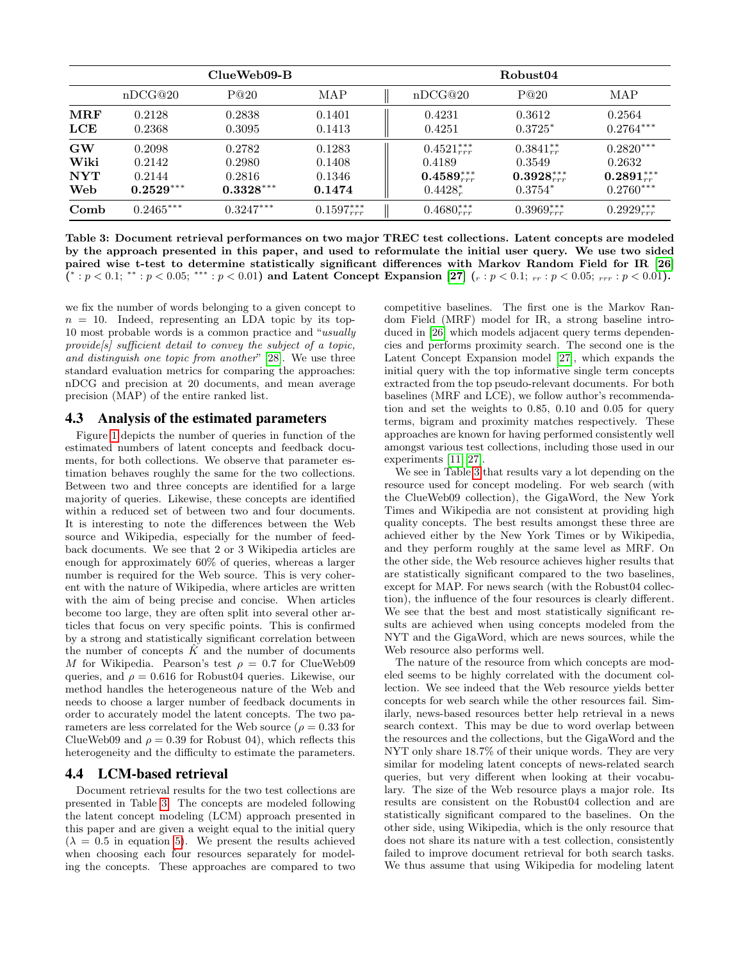|                                 | ClueWeb09-B                               |                                           |                                      | Robust04                                                             |                                                                   |                                                             |  |
|---------------------------------|-------------------------------------------|-------------------------------------------|--------------------------------------|----------------------------------------------------------------------|-------------------------------------------------------------------|-------------------------------------------------------------|--|
|                                 | nDCG@20                                   | P@20                                      | MAP                                  | nDCG@20                                                              | P@20                                                              | MAP                                                         |  |
| $\operatorname{MRF}$<br>LCE     | 0.2128<br>0.2368                          | 0.2838<br>0.3095                          | 0.1401<br>0.1413                     | 0.4231<br>0.4251                                                     | 0.3612<br>$0.3725*$                                               | 0.2564<br>$0.2764***$                                       |  |
| GW<br>Wiki<br><b>NYT</b><br>Web | 0.2098<br>0.2142<br>0.2144<br>$0.2529***$ | 0.2782<br>0.2980<br>0.2816<br>$0.3328***$ | 0.1283<br>0.1408<br>0.1346<br>0.1474 | $0.4521_{rrr}^{***}$<br>0.4189<br>$0.4589^{***}_{rrr}$<br>$0.4428^*$ | $0.3841_{rr}^{**}$<br>0.3549<br>$0.3928_{rrr}^{***}$<br>$0.3754*$ | $0.2820***$<br>0.2632<br>$0.2891_{rr}^{***}$<br>$0.2760***$ |  |
| Comb                            | $0.2465***$                               | $0.3247***$                               | $0.1597_{rrr}^{***}$                 | $0.4680_{rrr}^{***}$                                                 | $0.3969^{***}_{rrr}$                                              | $0.2929_{rrr}^{***}$                                        |  |

<span id="page-5-0"></span>Table 3: Document retrieval performances on two major TREC test collections. Latent concepts are modeled by the approach presented in this paper, and used to reformulate the initial user query. We use two sided paired wise t-test to determine statistically significant differences with Markov Random Field for IR [\[26\]](#page-7-32)  $(*: p < 0.1; **: p < 0.05; ***: p < 0.01)$  and Latent Concept Expansion [\[27\]](#page-7-7)  $(r: p < 0.1; r_r : p < 0.05; r_r r : p < 0.01)$ .

we fix the number of words belonging to a given concept to  $n = 10$ . Indeed, representing an LDA topic by its top-10 most probable words is a common practice and "usually provide<sup>[s]</sup> sufficient detail to convey the subject of a topic, and distinguish one topic from another" [\[28\]](#page-7-33). We use three standard evaluation metrics for comparing the approaches: nDCG and precision at 20 documents, and mean average precision (MAP) of the entire ranked list.

## 4.3 Analysis of the estimated parameters

Figure [1](#page-4-7) depicts the number of queries in function of the estimated numbers of latent concepts and feedback documents, for both collections. We observe that parameter estimation behaves roughly the same for the two collections. Between two and three concepts are identified for a large majority of queries. Likewise, these concepts are identified within a reduced set of between two and four documents. It is interesting to note the differences between the Web source and Wikipedia, especially for the number of feedback documents. We see that 2 or 3 Wikipedia articles are enough for approximately 60% of queries, whereas a larger number is required for the Web source. This is very coherent with the nature of Wikipedia, where articles are written with the aim of being precise and concise. When articles become too large, they are often split into several other articles that focus on very specific points. This is confirmed by a strong and statistically significant correlation between the number of concepts  $\hat{K}$  and the number of documents M for Wikipedia. Pearson's test  $\rho = 0.7$  for ClueWeb09 queries, and  $\rho = 0.616$  for Robust04 queries. Likewise, our method handles the heterogeneous nature of the Web and needs to choose a larger number of feedback documents in order to accurately model the latent concepts. The two parameters are less correlated for the Web source ( $\rho = 0.33$  for ClueWeb09 and  $\rho = 0.39$  for Robust 04), which reflects this heterogeneity and the difficulty to estimate the parameters.

## 4.4 LCM-based retrieval

Document retrieval results for the two test collections are presented in Table [3.](#page-5-0) The concepts are modeled following the latent concept modeling (LCM) approach presented in this paper and are given a weight equal to the initial query  $(\lambda = 0.5$  in equation [5\)](#page-3-1). We present the results achieved when choosing each four resources separately for modeling the concepts. These approaches are compared to two competitive baselines. The first one is the Markov Random Field (MRF) model for IR, a strong baseline introduced in [\[26\]](#page-7-32) which models adjacent query terms dependencies and performs proximity search. The second one is the Latent Concept Expansion model [\[27\]](#page-7-7), which expands the initial query with the top informative single term concepts extracted from the top pseudo-relevant documents. For both baselines (MRF and LCE), we follow author's recommendation and set the weights to 0.85, 0.10 and 0.05 for query terms, bigram and proximity matches respectively. These approaches are known for having performed consistently well amongst various test collections, including those used in our experiments [\[11,](#page-7-34) [27\]](#page-7-7).

We see in Table [3](#page-5-0) that results vary a lot depending on the resource used for concept modeling. For web search (with the ClueWeb09 collection), the GigaWord, the New York Times and Wikipedia are not consistent at providing high quality concepts. The best results amongst these three are achieved either by the New York Times or by Wikipedia, and they perform roughly at the same level as MRF. On the other side, the Web resource achieves higher results that are statistically significant compared to the two baselines, except for MAP. For news search (with the Robust04 collection), the influence of the four resources is clearly different. We see that the best and most statistically significant results are achieved when using concepts modeled from the NYT and the GigaWord, which are news sources, while the Web resource also performs well.

The nature of the resource from which concepts are modeled seems to be highly correlated with the document collection. We see indeed that the Web resource yields better concepts for web search while the other resources fail. Similarly, news-based resources better help retrieval in a news search context. This may be due to word overlap between the resources and the collections, but the GigaWord and the NYT only share 18.7% of their unique words. They are very similar for modeling latent concepts of news-related search queries, but very different when looking at their vocabulary. The size of the Web resource plays a major role. Its results are consistent on the Robust04 collection and are statistically significant compared to the baselines. On the other side, using Wikipedia, which is the only resource that does not share its nature with a test collection, consistently failed to improve document retrieval for both search tasks. We thus assume that using Wikipedia for modeling latent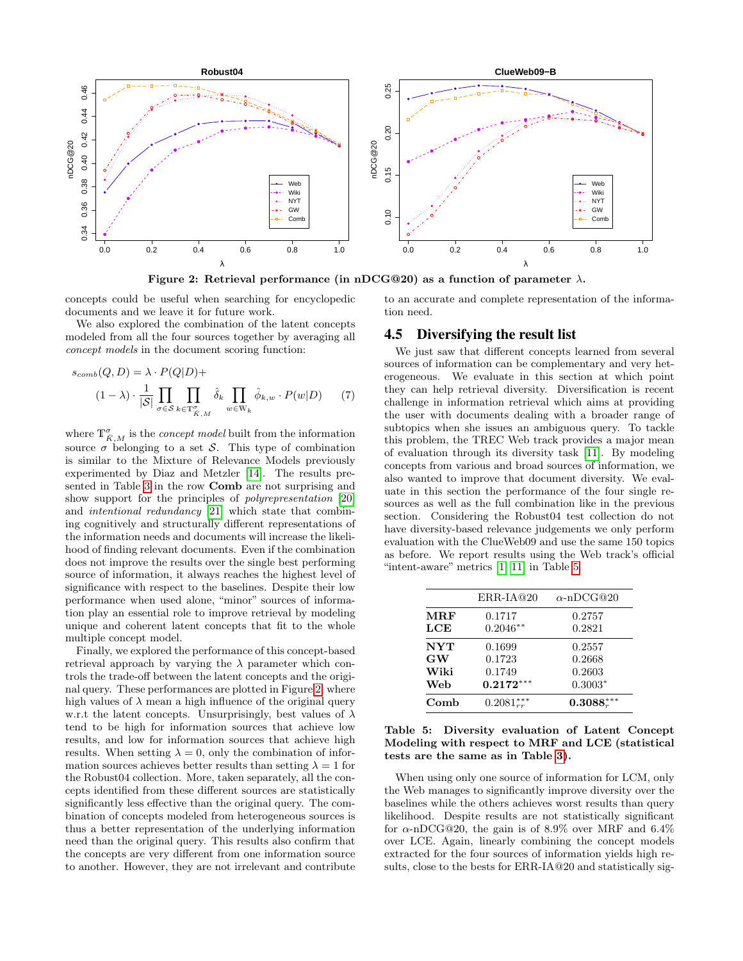

<span id="page-6-0"></span>Figure 2: Retrieval performance (in nDCG@20) as a function of parameter  $\lambda$ .

concepts could be useful when searching for encyclopedic documents and we leave it for future work.

We also explored the combination of the latent concepts modeled from all the four sources together by averaging all concept models in the document scoring function:

$$
s_{comb}(Q, D) = \lambda \cdot P(Q|D) +
$$
  

$$
(1 - \lambda) \cdot \frac{1}{|S|} \prod_{\sigma \in S} \prod_{k \in \mathbb{T}_{\tilde{K},M}^{\sigma}} \hat{\delta}_k \prod_{w \in \mathbb{W}_k} \hat{\phi}_{k,w} \cdot P(w|D) \qquad (7)
$$

where  $\mathbb{T}_{\hat{K},M}^{\sigma}$  is the *concept model* built from the information source  $\sigma$  belonging to a set S. This type of combination is similar to the Mixture of Relevance Models previously experimented by Diaz and Metzler [\[14\]](#page-7-35). The results presented in Table [3](#page-5-0) in the row Comb are not surprising and show support for the principles of polyrepresentation [\[20\]](#page-7-0) and intentional redundancy [\[21\]](#page-7-36) which state that combining cognitively and structurally different representations of the information needs and documents will increase the likelihood of finding relevant documents. Even if the combination does not improve the results over the single best performing source of information, it always reaches the highest level of significance with respect to the baselines. Despite their low performance when used alone, "minor" sources of information play an essential role to improve retrieval by modeling unique and coherent latent concepts that fit to the whole multiple concept model.

Finally, we explored the performance of this concept-based retrieval approach by varying the  $\lambda$  parameter which controls the trade-off between the latent concepts and the original query. These performances are plotted in Figure [2,](#page-6-0) where high values of  $\lambda$  mean a high influence of the original query w.r.t the latent concepts. Unsurprisingly, best values of  $\lambda$ tend to be high for information sources that achieve low results, and low for information sources that achieve high results. When setting  $\lambda = 0$ , only the combination of information sources achieves better results than setting  $\lambda = 1$  for the Robust04 collection. More, taken separately, all the concepts identified from these different sources are statistically significantly less effective than the original query. The combination of concepts modeled from heterogeneous sources is thus a better representation of the underlying information need than the original query. This results also confirm that the concepts are very different from one information source to another. However, they are not irrelevant and contribute

to an accurate and complete representation of the information need.

#### 4.5 Diversifying the result list

We just saw that different concepts learned from several sources of information can be complementary and very heterogeneous. We evaluate in this section at which point they can help retrieval diversity. Diversification is recent challenge in information retrieval which aims at providing the user with documents dealing with a broader range of subtopics when she issues an ambiguous query. To tackle this problem, the TREC Web track provides a major mean of evaluation through its diversity task [\[11\]](#page-7-34). By modeling concepts from various and broad sources of information, we also wanted to improve that document diversity. We evaluate in this section the performance of the four single resources as well as the full combination like in the previous section. Considering the Robust04 test collection do not have diversity-based relevance judgements we only perform evaluation with the ClueWeb09 and use the same 150 topics as before. We report results using the Web track's official "intent-aware" metrics [\[1,](#page-7-37) [11\]](#page-7-34) in Table [5.](#page-6-1)

|                               | $ERR-IA@20$                | $\alpha$ -nDCG@20          |
|-------------------------------|----------------------------|----------------------------|
| $\bf{M} \bf{R} \bf{F}$<br>LCE | 0.1717<br>$0.2046**$       | 0.2757<br>0.2821           |
| NYT<br>GW<br>Wiki             | 0.1699<br>0.1723<br>0.1749 | 0.2557<br>0.2668<br>0.2603 |
| Web                           | $0.2172***$                | $0.3003*$                  |
| Comb                          | $0.2081_{rr}^{***}$        | $0.3088^{***}_{r}$         |

<span id="page-6-1"></span>

|  | Table 5: Diversity evaluation of Latent Concept   |  |  |
|--|---------------------------------------------------|--|--|
|  | Modeling with respect to MRF and LCE (statistical |  |  |
|  | tests are the same as in Table 3).                |  |  |

When using only one source of information for LCM, only the Web manages to significantly improve diversity over the baselines while the others achieves worst results than query likelihood. Despite results are not statistically significant for  $\alpha$ -nDCG@20, the gain is of 8.9% over MRF and 6.4% over LCE. Again, linearly combining the concept models extracted for the four sources of information yields high results, close to the bests for ERR-IA@20 and statistically sig